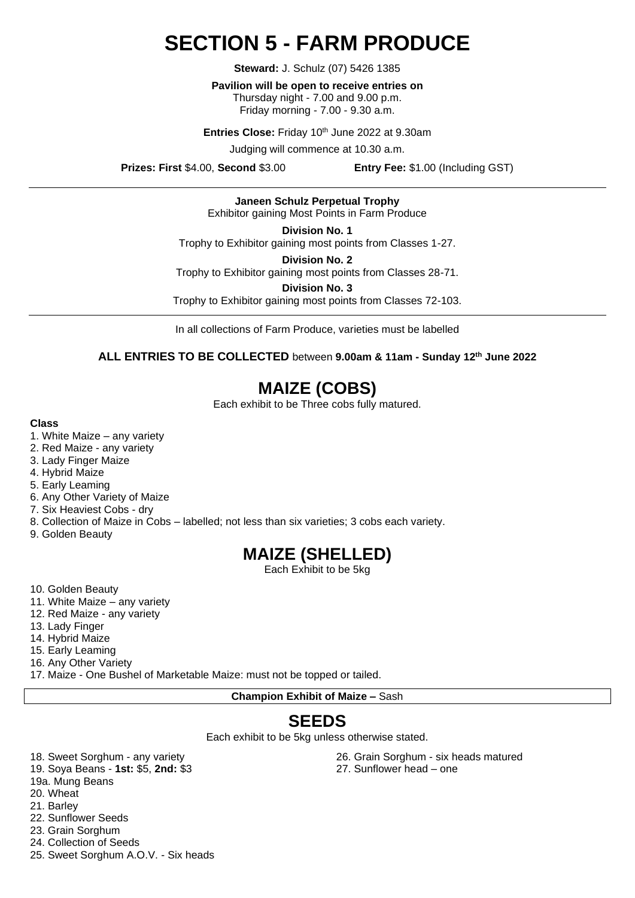# **SECTION 5 - FARM PRODUCE**

**Steward:** J. Schulz (07) 5426 1385

**Pavilion will be open to receive entries on**  Thursday night - 7.00 and 9.00 p.m. Friday morning - 7.00 - 9.30 a.m.

Entries Close: Friday 10<sup>th</sup> June 2022 at 9.30am

Judging will commence at 10.30 a.m.

**Prizes: First** \$4.00, **Second** \$3.00 **Entry Fee:** \$1.00 (Including GST)

**Janeen Schulz Perpetual Trophy** Exhibitor gaining Most Points in Farm Produce

**Division No. 1**

Trophy to Exhibitor gaining most points from Classes 1-27.

**Division No. 2** Trophy to Exhibitor gaining most points from Classes 28-71.

**Division No. 3**

Trophy to Exhibitor gaining most points from Classes 72-103.

In all collections of Farm Produce, varieties must be labelled

**ALL ENTRIES TO BE COLLECTED** between **9.00am & 11am - Sunday 12 th June 2022**

# **MAIZE (COBS)**

Each exhibit to be Three cobs fully matured.

### **Class**

- 1. White Maize any variety
- 2. Red Maize any variety
- 3. Lady Finger Maize
- 4. Hybrid Maize
- 5. Early Leaming
- 6. Any Other Variety of Maize
- 7. Six Heaviest Cobs dry
- 8. Collection of Maize in Cobs labelled; not less than six varieties; 3 cobs each variety.
- 9. Golden Beauty

### **MAIZE (SHELLED)**

Each Exhibit to be 5kg

- 10. Golden Beauty
- 11. White Maize any variety
- 12. Red Maize any variety
- 13. Lady Finger
- 14. Hybrid Maize
- 15. Early Leaming
- 16. Any Other Variety

17. Maize - One Bushel of Marketable Maize: must not be topped or tailed.

**Champion Exhibit of Maize –** Sash

## **SEEDS**

Each exhibit to be 5kg unless otherwise stated.

18. Sweet Sorghum - any variety

- 19. Soya Beans **1st:** \$5, **2nd:** \$3
- 19a. Mung Beans
- 20. Wheat
- 21. Barley
- 22. Sunflower Seeds
- 23. Grain Sorghum
- 24. Collection of Seeds
- 25. Sweet Sorghum A.O.V. Six heads

26. Grain Sorghum - six heads matured

27. Sunflower head – one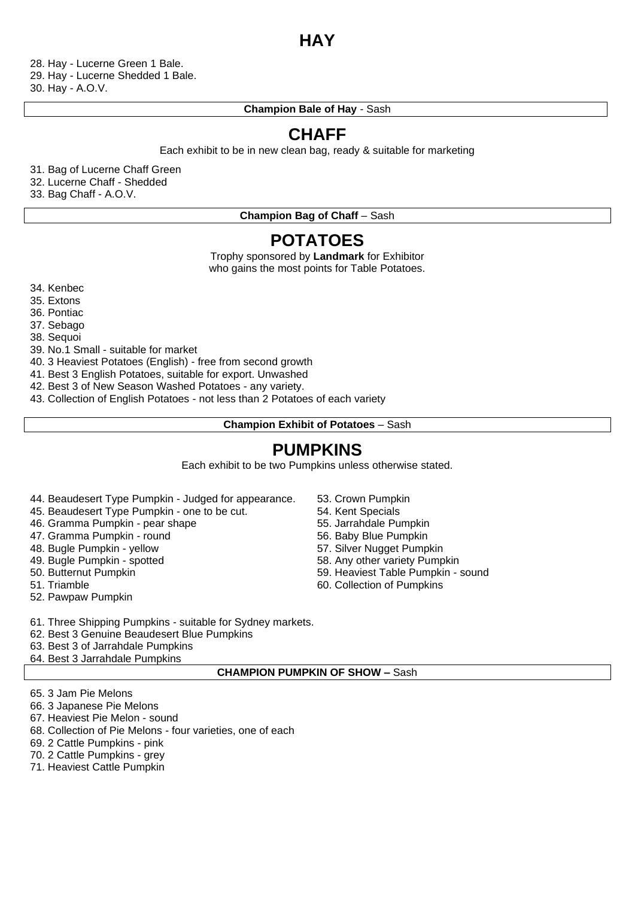### **HAY**

28. Hay - Lucerne Green 1 Bale. 29. Hay - Lucerne Shedded 1 Bale.

30. Hay - A.O.V.

### **Champion Bale of Hay** - Sash

# **CHAFF**

Each exhibit to be in new clean bag, ready & suitable for marketing

31. Bag of Lucerne Chaff Green

32. Lucerne Chaff - Shedded

33. Bag Chaff - A.O.V.

**Champion Bag of Chaff - Sash** 

### **POTATOES**

Trophy sponsored by **Landmark** for Exhibitor who gains the most points for Table Potatoes.

34. Kenbec

35. Extons

36. Pontiac

37. Sebago

38. Sequoi

39. No.1 Small - suitable for market

40. 3 Heaviest Potatoes (English) - free from second growth

41. Best 3 English Potatoes, suitable for export. Unwashed

42. Best 3 of New Season Washed Potatoes - any variety.

43. Collection of English Potatoes - not less than 2 Potatoes of each variety

**Champion Exhibit of Potatoes** – Sash

## **PUMPKINS**

Each exhibit to be two Pumpkins unless otherwise stated.

- 44. Beaudesert Type Pumpkin Judged for appearance.
- 45. Beaudesert Type Pumpkin one to be cut.
- 46. Gramma Pumpkin pear shape
- 47. Gramma Pumpkin round
- 48. Bugle Pumpkin yellow
- 49. Bugle Pumpkin spotted
- 50. Butternut Pumpkin
- 51. Triamble
- 52. Pawpaw Pumpkin
- 53. Crown Pumpkin
- 54. Kent Specials
- 55. Jarrahdale Pumpkin
- 56. Baby Blue Pumpkin
- 57. Silver Nugget Pumpkin
- 58. Any other variety Pumpkin
- 59. Heaviest Table Pumpkin sound
- 60. Collection of Pumpkins
- 61. Three Shipping Pumpkins suitable for Sydney markets.
- 62. Best 3 Genuine Beaudesert Blue Pumpkins
- 63. Best 3 of Jarrahdale Pumpkins
- 64. Best 3 Jarrahdale Pumpkins

### **CHAMPION PUMPKIN OF SHOW –** Sash

- 65. 3 Jam Pie Melons
- 66. 3 Japanese Pie Melons
- 67. Heaviest Pie Melon sound
- 68. Collection of Pie Melons four varieties, one of each
- 69. 2 Cattle Pumpkins pink
- 70. 2 Cattle Pumpkins grey
- 71. Heaviest Cattle Pumpkin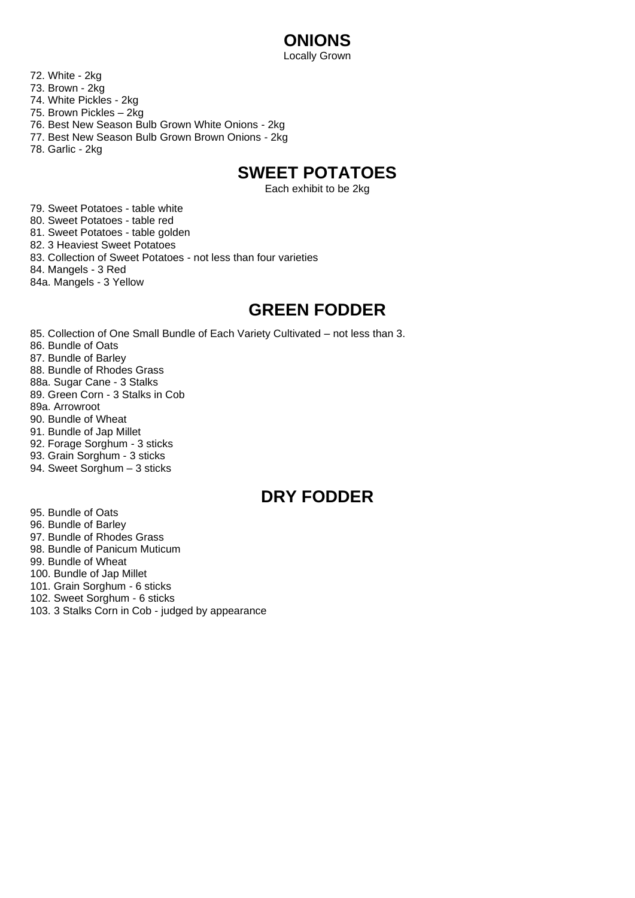# **ONIONS**

Locally Grown

- 72. White 2kg
- 73. Brown 2kg
- 74. White Pickles 2kg
- 75. Brown Pickles 2kg
- 76. Best New Season Bulb Grown White Onions 2kg
- 77. Best New Season Bulb Grown Brown Onions 2kg
- 78. Garlic 2kg

# **SWEET POTATOES**

Each exhibit to be 2kg

79. Sweet Potatoes - table white 80. Sweet Potatoes - table red 81. Sweet Potatoes - table golden 82. 3 Heaviest Sweet Potatoes 83. Collection of Sweet Potatoes - not less than four varieties 84. Mangels - 3 Red 84a. Mangels - 3 Yellow

### **GREEN FODDER**

85. Collection of One Small Bundle of Each Variety Cultivated – not less than 3. 86. Bundle of Oats 87. Bundle of Barley 88. Bundle of Rhodes Grass 88a. Sugar Cane - 3 Stalks 89. Green Corn - 3 Stalks in Cob 89a. Arrowroot 90. Bundle of Wheat 91. Bundle of Jap Millet 92. Forage Sorghum - 3 sticks 93. Grain Sorghum - 3 sticks 94. Sweet Sorghum – 3 sticks

## **DRY FODDER**

95. Bundle of Oats 96. Bundle of Barley 97. Bundle of Rhodes Grass 98. Bundle of Panicum Muticum 99. Bundle of Wheat 100. Bundle of Jap Millet 101. Grain Sorghum - 6 sticks 102. Sweet Sorghum - 6 sticks 103. 3 Stalks Corn in Cob - judged by appearance